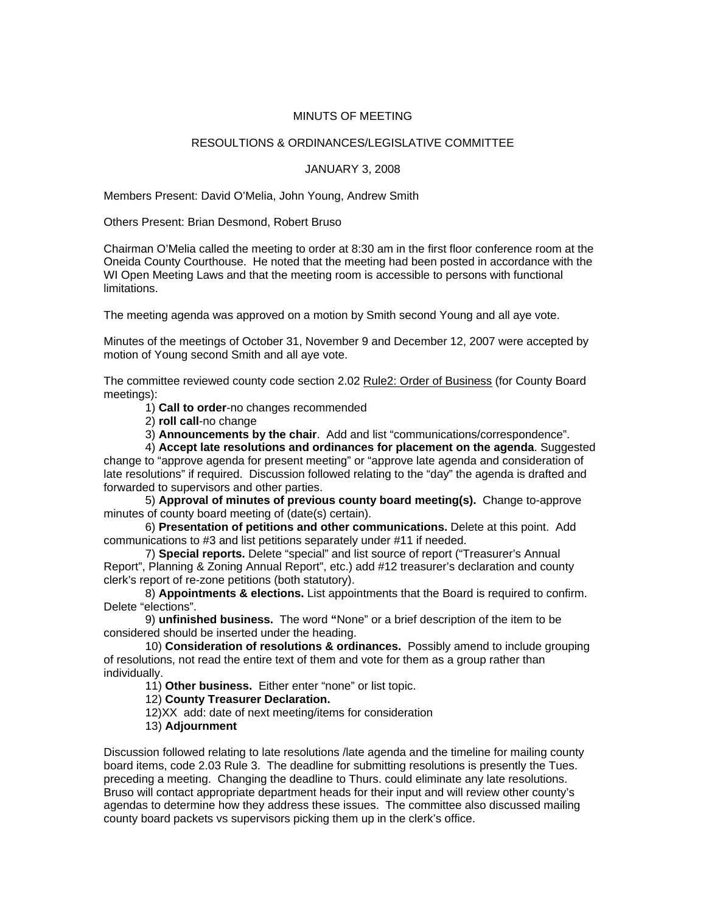## MINUTS OF MEETING

## RESOULTIONS & ORDINANCES/LEGISLATIVE COMMITTEE

## JANUARY 3, 2008

Members Present: David O'Melia, John Young, Andrew Smith

Others Present: Brian Desmond, Robert Bruso

Chairman O'Melia called the meeting to order at 8:30 am in the first floor conference room at the Oneida County Courthouse. He noted that the meeting had been posted in accordance with the WI Open Meeting Laws and that the meeting room is accessible to persons with functional limitations.

The meeting agenda was approved on a motion by Smith second Young and all aye vote.

Minutes of the meetings of October 31, November 9 and December 12, 2007 were accepted by motion of Young second Smith and all aye vote.

The committee reviewed county code section 2.02 Rule2: Order of Business (for County Board meetings):

1) **Call to order**-no changes recommended

2) **roll call**-no change

3) **Announcements by the chair**. Add and list "communications/correspondence".

 4) **Accept late resolutions and ordinances for placement on the agenda**. Suggested change to "approve agenda for present meeting" or "approve late agenda and consideration of late resolutions" if required. Discussion followed relating to the "day" the agenda is drafted and forwarded to supervisors and other parties.

 5) **Approval of minutes of previous county board meeting(s).** Change to-approve minutes of county board meeting of (date(s) certain).

 6) **Presentation of petitions and other communications.** Delete at this point. Add communications to #3 and list petitions separately under #11 if needed.

 7) **Special reports.** Delete "special" and list source of report ("Treasurer's Annual Report", Planning & Zoning Annual Report", etc.) add #12 treasurer's declaration and county clerk's report of re-zone petitions (both statutory).

 8) **Appointments & elections.** List appointments that the Board is required to confirm. Delete "elections".

 9) **unfinished business.** The word **"**None" or a brief description of the item to be considered should be inserted under the heading.

 10) **Consideration of resolutions & ordinances.** Possibly amend to include grouping of resolutions, not read the entire text of them and vote for them as a group rather than individually.

11) **Other business.** Either enter "none" or list topic.

12) **County Treasurer Declaration.** 

12)XX add: date of next meeting/items for consideration

13) **Adjournment**

Discussion followed relating to late resolutions /late agenda and the timeline for mailing county board items, code 2.03 Rule 3. The deadline for submitting resolutions is presently the Tues. preceding a meeting. Changing the deadline to Thurs. could eliminate any late resolutions. Bruso will contact appropriate department heads for their input and will review other county's agendas to determine how they address these issues. The committee also discussed mailing county board packets vs supervisors picking them up in the clerk's office.